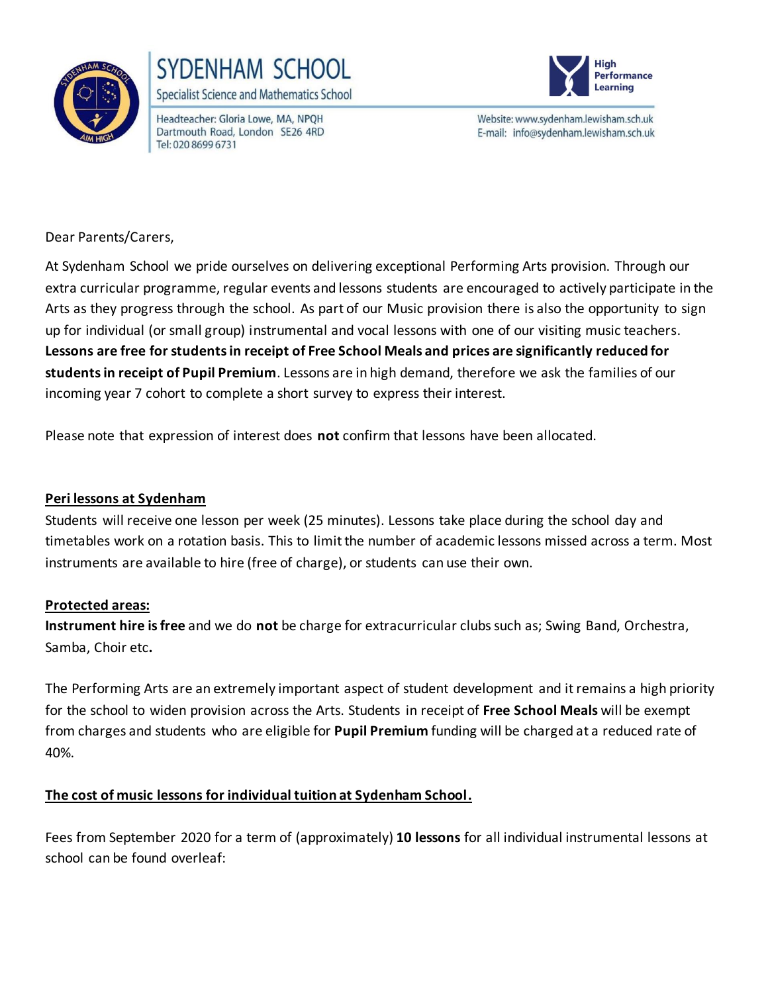



Headteacher: Gloria Lowe, MA, NPQH Dartmouth Road, London SE26 4RD Tel: 020 8699 6731



Website: www.sydenham.lewisham.sch.uk E-mail: info@sydenham.lewisham.sch.uk

Dear Parents/Carers,

At Sydenham School we pride ourselves on delivering exceptional Performing Arts provision. Through our extra curricular programme, regular events and lessons students are encouraged to actively participate in the Arts as they progress through the school. As part of our Music provision there is also the opportunity to sign up for individual (or small group) instrumental and vocal lessons with one of our visiting music teachers. **Lessons are free for students in receipt of Free School Meals and prices are significantly reduced for students in receipt of Pupil Premium**. Lessons are in high demand, therefore we ask the families of our incoming year 7 cohort to complete a short survey to express their interest.

Please note that expression of interest does **not** confirm that lessons have been allocated.

## **Peri lessons at Sydenham**

Students will receive one lesson per week (25 minutes). Lessons take place during the school day and timetables work on a rotation basis. This to limit the number of academic lessons missed across a term. Most instruments are available to hire (free of charge), or students can use their own.

## **Protected areas:**

**Instrument hire is free** and we do **not** be charge for extracurricular clubs such as; Swing Band, Orchestra, Samba, Choir etc**.** 

The Performing Arts are an extremely important aspect of student development and it remains a high priority for the school to widen provision across the Arts. Students in receipt of **Free School Meals** will be exempt from charges and students who are eligible for **Pupil Premium** funding will be charged at a reduced rate of 40%.

## **The cost of music lessons for individual tuition at Sydenham School.**

Fees from September 2020 for a term of (approximately) **10 lessons** for all individual instrumental lessons at school can be found overleaf: